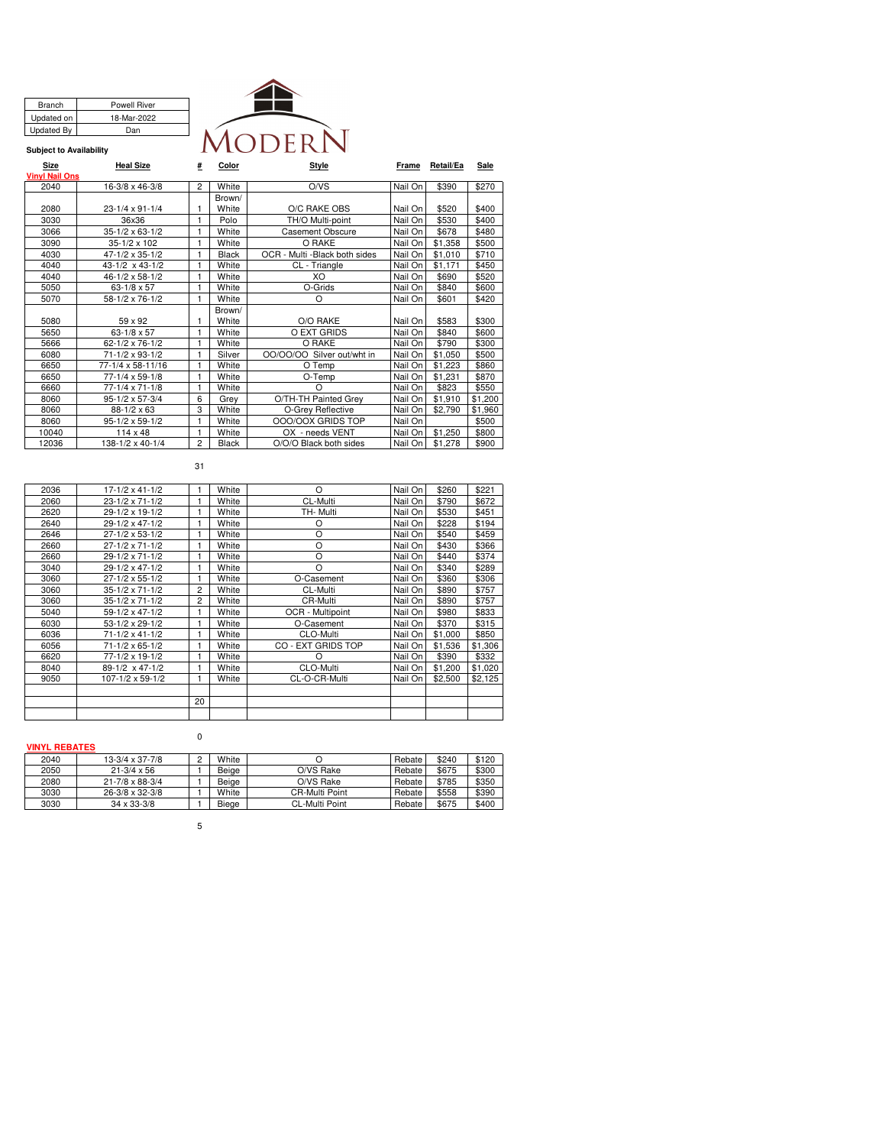| <b>MODERN</b> |  |
|---------------|--|

#### **Subject to Availability**

Branch Powell River<br>
Updated on 18-Mar-2022

Updated By Dan

18-Mar-2022

| Size                  | Heal Size                  | # | Color        | Style                          | Frame   | Retail/Ea | Sale    |
|-----------------------|----------------------------|---|--------------|--------------------------------|---------|-----------|---------|
| <b>Vinvl Nail Ons</b> |                            |   |              |                                |         |           |         |
| 2040                  | 16-3/8 x 46-3/8            | 2 | White        | O/VS                           | Nail On | \$390     | \$270   |
|                       |                            |   | Brown/       |                                |         |           |         |
| 2080                  | $23 - 1/4 \times 91 - 1/4$ |   | White        | O/C RAKE OBS                   | Nail On | \$520     | \$400   |
| 3030                  | 36x36                      | 1 | Polo         | TH/O Multi-point               | Nail On | \$530     | \$400   |
| 3066                  | $35-1/2 \times 63-1/2$     | 1 | White        | Casement Obscure               | Nail On | \$678     | \$480   |
| 3090                  | 35-1/2 x 102               |   | White        | O RAKE                         | Nail On | \$1,358   | \$500   |
| 4030                  | 47-1/2 x 35-1/2            |   | <b>Black</b> | OCR - Multi - Black both sides | Nail On | \$1,010   | \$710   |
| 4040                  | 43-1/2 x 43-1/2            | 1 | White        | CL - Triangle                  | Nail On | \$1,171   | \$450   |
| 4040                  | 46-1/2 x 58-1/2            | 1 | White        | XO                             | Nail On | \$690     | \$520   |
| 5050                  | 63-1/8 x 57                | 1 | White        | O-Grids                        | Nail On | \$840     | \$600   |
| 5070                  | 58-1/2 x 76-1/2            | 1 | White        | O                              | Nail On | \$601     | \$420   |
|                       |                            |   | Brown/       |                                |         |           |         |
| 5080                  | 59 x 92                    |   | White        | O/O RAKE                       | Nail On | \$583     | \$300   |
| 5650                  | $63 - 1/8 \times 57$       | 1 | White        | O EXT GRIDS                    | Nail On | \$840     | \$600   |
| 5666                  | 62-1/2 x 76-1/2            |   | White        | O RAKE                         | Nail On | \$790     | \$300   |
| 6080                  | 71-1/2 x 93-1/2            | 1 | Silver       | Silver out/wht in<br>00/00/00  | Nail On | \$1,050   | \$500   |
| 6650                  | 77-1/4 x 58-11/16          |   | White        | O Temp                         | Nail On | \$1,223   | \$860   |
| 6650                  | 77-1/4 x 59-1/8            |   | White        | O-Temp                         | Nail On | \$1,231   | \$870   |
| 6660                  | 77-1/4 x 71-1/8            |   | White        | $\Omega$                       | Nail On | \$823     | \$550   |
| 8060                  | 95-1/2 x 57-3/4            | 6 | Grey         | O/TH-TH Painted Grey           | Nail On | \$1,910   | \$1,200 |
| 8060                  | 88-1/2 x 63                | 3 | White        | O-Grey Reflective              | Nail On | \$2,790   | \$1,960 |
| 8060                  | 95-1/2 x 59-1/2            | 1 | White        | OOO/OOX GRIDS TOP              | Nail On |           | \$500   |
| 10040                 | $114 \times 48$            | 1 | White        | OX - needs VENT                | Nail On | \$1,250   | \$800   |
| 12036                 | 138-1/2 x 40-1/4           | 2 | <b>Black</b> | O/O/O Black both sides         | Nail On | \$1.278   | \$900   |

# 31

| 2036 | 17-1/2 x 41-1/2            |    | White | $\Omega$           | Nail On | \$260   | \$221   |
|------|----------------------------|----|-------|--------------------|---------|---------|---------|
| 2060 | 23-1/2 x 71-1/2            |    | White | CL-Multi           | Nail On | \$790   | \$672   |
| 2620 | 29-1/2 x 19-1/2            |    | White | TH- Multi          | Nail On | \$530   | \$451   |
| 2640 | 29-1/2 x 47-1/2            |    | White | $\Omega$           | Nail On | \$228   | \$194   |
| 2646 | 27-1/2 x 53-1/2            |    | White | O                  | Nail On | \$540   | \$459   |
| 2660 | $27 - 1/2 \times 71 - 1/2$ | 1  | White | $\Omega$           | Nail On | \$430   | \$366   |
| 2660 | 29-1/2 x 71-1/2            |    | White | O                  | Nail On | \$440   | \$374   |
| 3040 | 29-1/2 x 47-1/2            |    | White | $\Omega$           | Nail On | \$340   | \$289   |
| 3060 | $27 - 1/2 \times 55 - 1/2$ | 1  | White | O-Casement         | Nail On | \$360   | \$306   |
| 3060 | 35-1/2 x 71-1/2            | 2  | White | CL-Multi           | Nail On | \$890   | \$757   |
| 3060 | 35-1/2 x 71-1/2            | 2  | White | CR-Multi           | Nail On | \$890   | \$757   |
| 5040 | 59-1/2 x 47-1/2            |    | White | OCR - Multipoint   | Nail On | \$980   | \$833   |
| 6030 | 53-1/2 x 29-1/2            | 1  | White | O-Casement         | Nail On | \$370   | \$315   |
| 6036 | 71-1/2 x 41-1/2            | 1  | White | CLO-Multi          | Nail On | \$1,000 | \$850   |
| 6056 | 71-1/2 x 65-1/2            | 1  | White | CO - EXT GRIDS TOP | Nail On | \$1.536 | \$1,306 |
| 6620 | 77-1/2 x 19-1/2            |    | White | O                  | Nail On | \$390   | \$332   |
| 8040 | 89-1/2 x 47-1/2            | 1  | White | CLO-Multi          | Nail On | \$1,200 | \$1,020 |
| 9050 | 107-1/2 x 59-1/2           | 1  | White | CL-O-CR-Multi      | Nail On | \$2,500 | \$2,125 |
|      |                            |    |       |                    |         |         |         |
|      |                            | 20 |       |                    |         |         |         |
|      |                            |    |       |                    |         |         |         |
|      |                            |    |       |                    |         |         |         |

#### **VINYL REBATES**

| 2040 | $13-3/4 \times 37-7/8$     | White |                       | Rebate | \$240 | \$120 |
|------|----------------------------|-------|-----------------------|--------|-------|-------|
| 2050 | $21 - 3/4 \times 56$       | Beige | O/VS Rake             | Rebate | \$675 | \$300 |
| 2080 | $21 - 7/8 \times 88 - 3/4$ | Beige | O/VS Rake             | Rebate | \$785 | \$350 |
| 3030 | $26-3/8 \times 32-3/8$     | White | <b>CR-Multi Point</b> | Rebate | \$558 | \$390 |
| 3030 | $34 \times 33 - 3/8$       | Biege | CL-Multi Point        | Rebate | \$675 | \$400 |

5

 $\pmb{0}$